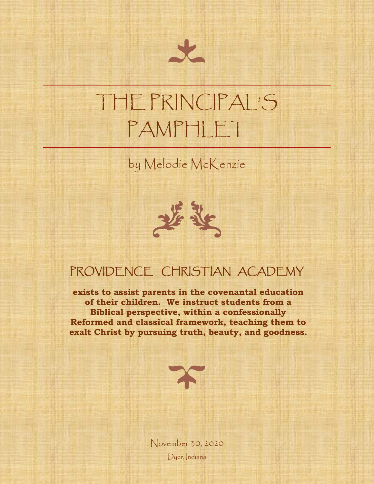# THE PRINCIPAL'S PAMPHLET

by Melodie McKenzie



### PROVIDENCE CHRISTIAN ACADEMY

**exists to assist parents in the covenantal education of their children. We instruct students from a Biblical perspective, within a confessionally Reformed and classical framework, teaching them to exalt Christ by pursuing truth, beauty, and goodness.**



November 30, 2020 Dyer, Indiana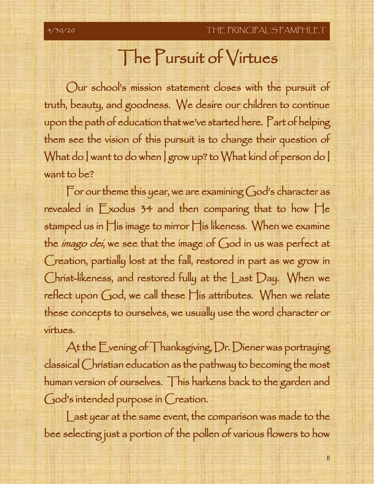## The Pursuit of Virtues

Our school's mission statement closes with the pursuit of truth, beauty, and goodness. We desire our children to continue upon the path of education that we've started here. Part of helping them see the vision of this pursuit is to change their question of What do I want to do when I grow up? to What kind of person do I want to be?

For our theme this year, we are examining  $God's$  character as revealed in Exodus 34 and then comparing that to how He stamped us in His image to mirror His likeness. When we examine the *imago dei*, we see that the image of  $God$  in us was perfect at Creation, partially lost at the fall, restored in part as we grow in Christ-likeness, and restored fully at the Last Day. When we reflect upon God, we call these His attributes. When we relate these concepts to ourselves, we usually use the word character or virtues.

At the Evening of Thanksgiving, Dr. Diener was portraying classical Christian education as the pathway to becoming the most human version of ourselves. This harkens back to the garden and God's intended purpose in Creation.

Last year at the same event, the comparison was made to the bee selecting just a portion of the pollen of various flowers to how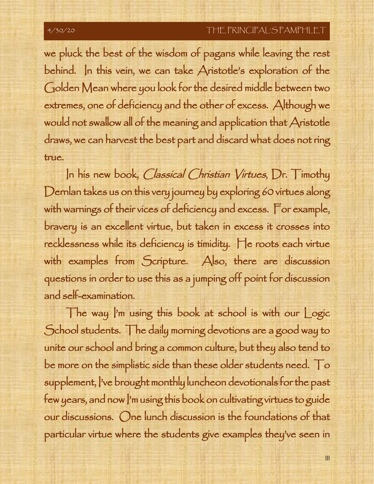we pluck the best of the wisdom of pagans while leaving the rest behind. In this vein, we can take Aristotle's exploration of the Golden Mean where you look for the desired middle between two extremes, one of deficiency and the other of excess. Although we would not swallow all of the meaning and application that Aristotle draws, we can harvest the best part and discard what does not ring true.

In his new book, Classical Christian Virtues, Dr. Timothy Dernlan takes us on this very journey by exploring 60 virtues along with warnings of their vices of deficiency and excess. For example, bravery is an excellent virtue, but taken in excess it crosses into recklessness while its deficiency is timidity. He roots each virtue with examples from Scripture. Also, there are discussion questions in order to use this as a jumping off point for discussion and self-examination.

The way I'm using this book at school is with our Logic School students. The daily morning devotions are a good way to unite our school and bring a common culture, but they also tend to be more on the simplistic side than these older students need. To supplement, I've brought monthly luncheon devotionals for the past few years, and now I'm using this book on cultivating virtues to guide our discussions. One lunch discussion is the foundations of that particular virtue where the students give examples they've seen in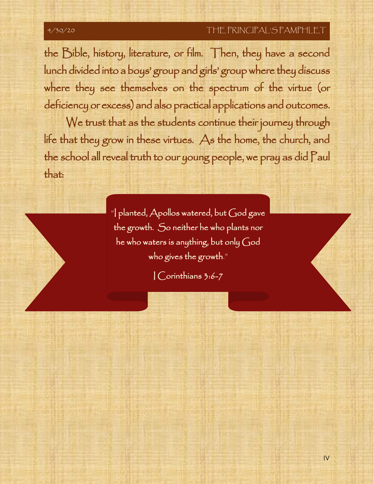#### 4/30/20 THE PRINCIPAL'S PAMPHLI

the Bible, history, literature, or film. Then, they have a second lunch divided into a boys' group and girls' group where they discuss where they see themselves on the spectrum of the virtue (or deficiency or excess) and also practical applications and outcomes.

We trust that as the students continue their journey through life that they grow in these virtues. As the home, the church, and the school all reveal truth to our young people, we pray as did Paul that:

> "I planted, Apollos watered, but God gave the growth. So neither he who plants nor he who waters is anything, but only God who gives the growth."

> > I Corinthians 3:6-7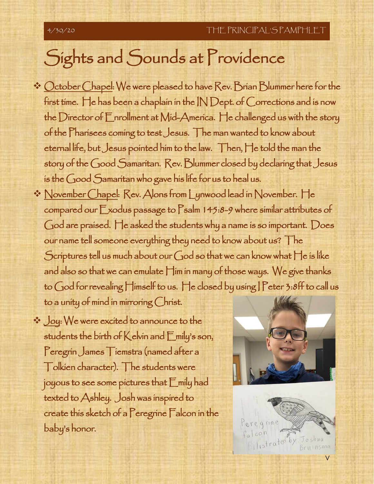# Sights and Sounds at Providence

- ❖ October Chapel: We were pleased to have Rev. Brian Blummer here for the first time. He has been a chaplain in the IN Dept. of Corrections and is now the Director of Enrollment at Mid-America. He challenged us with the story of the Pharisees coming to test Jesus. The man wanted to know about eternal life, but Jesus pointed him to the law. Then, He told the man the story of the Good Samaritan. Rev. Blummer closed by declaring that Jesus is the Good Samaritan who gave his life for us to heal us.
- ❖ November Chapel: Rev. Alons from Lynwood lead in November. He compared our Exodus passage to Psalm 145:8-9 where similar attributes of God are praised. He asked the students why a name is so important. Does our name tell someone everything they need to know about us? The Scriptures tell us much about our God so that we can know what  $\bigcap$ e is like and also so that we can emulate Him in many of those ways. We give thanks to God for revealing Himself to us. He closed by using I Peter 3:8ff to call us to a unity of mind in mirroring Christ.
- ❖ <u>Joy</u>: We were excited to announce to the Peregrin James Tiemstra (named after a Tolkien character). The students were .<br>ו create this sketch of a Peregrine Falcon in the students the birth of  $K$ elvin and  $E$ mily's son, joyous to see some pictures that Emily had texted to Ashley. Josh was inspired to baby's honor.